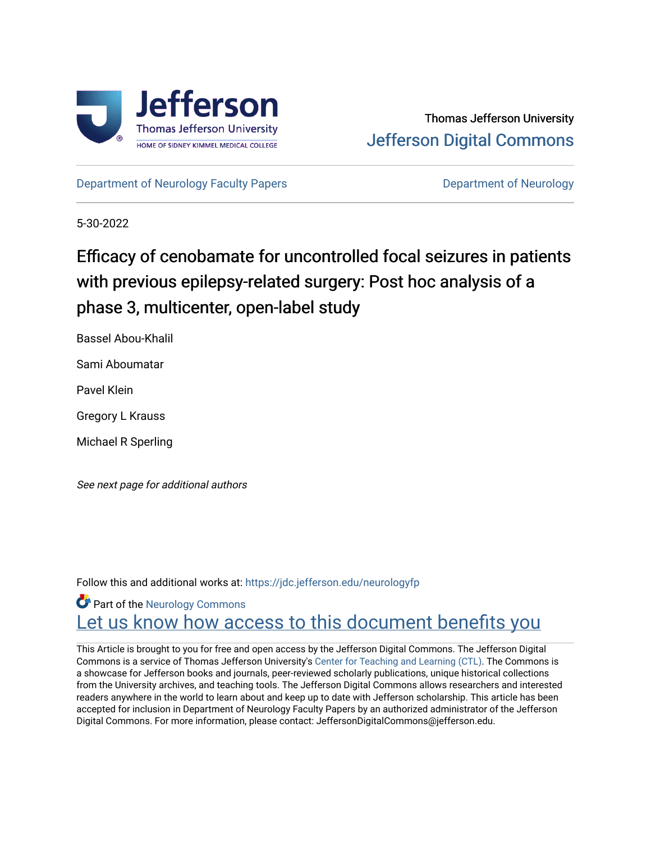

[Department of Neurology Faculty Papers](https://jdc.jefferson.edu/neurologyfp) **Department of Neurology** 

5-30-2022

# Efficacy of cenobamate for uncontrolled focal seizures in patients with previous epilepsy-related surgery: Post hoc analysis of a phase 3, multicenter, open-label study

Bassel Abou-Khalil

Sami Aboumatar

Pavel Klein

Gregory L Krauss

Michael R Sperling

See next page for additional authors

Follow this and additional works at: [https://jdc.jefferson.edu/neurologyfp](https://jdc.jefferson.edu/neurologyfp?utm_source=jdc.jefferson.edu%2Fneurologyfp%2F290&utm_medium=PDF&utm_campaign=PDFCoverPages) 

**C** Part of the [Neurology Commons](https://network.bepress.com/hgg/discipline/692?utm_source=jdc.jefferson.edu%2Fneurologyfp%2F290&utm_medium=PDF&utm_campaign=PDFCoverPages) Let us know how access to this document benefits you

This Article is brought to you for free and open access by the Jefferson Digital Commons. The Jefferson Digital Commons is a service of Thomas Jefferson University's [Center for Teaching and Learning \(CTL\)](http://www.jefferson.edu/university/teaching-learning.html/). The Commons is a showcase for Jefferson books and journals, peer-reviewed scholarly publications, unique historical collections from the University archives, and teaching tools. The Jefferson Digital Commons allows researchers and interested readers anywhere in the world to learn about and keep up to date with Jefferson scholarship. This article has been accepted for inclusion in Department of Neurology Faculty Papers by an authorized administrator of the Jefferson Digital Commons. For more information, please contact: JeffersonDigitalCommons@jefferson.edu.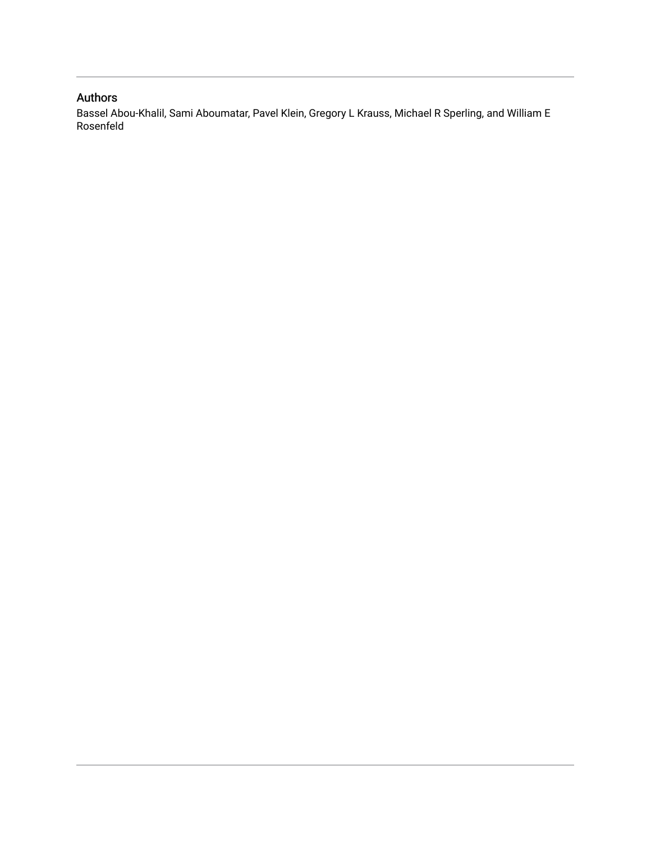# Authors

Bassel Abou-Khalil, Sami Aboumatar, Pavel Klein, Gregory L Krauss, Michael R Sperling, and William E Rosenfeld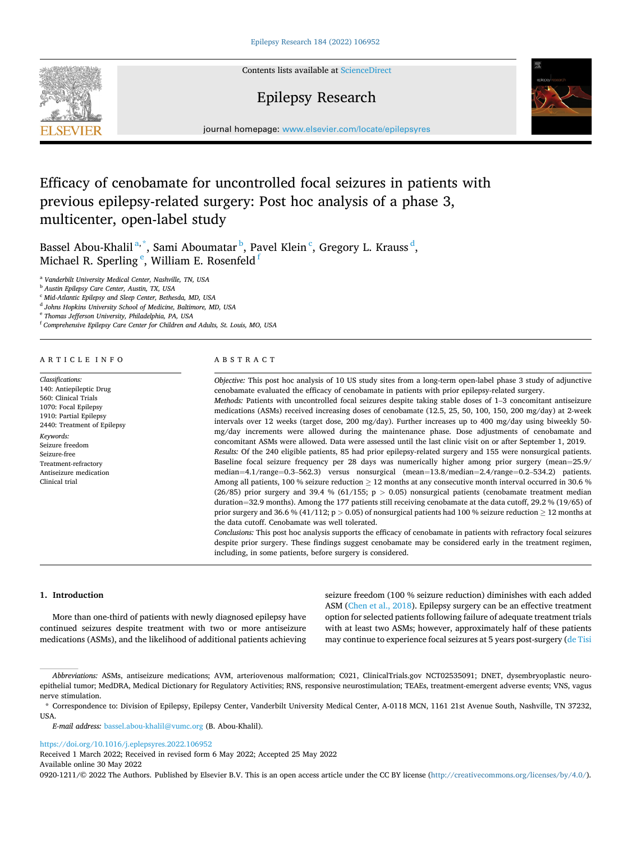

Contents lists available at [ScienceDirect](www.sciencedirect.com/science/journal/09201211)

# Epilepsy Research



journal homepage: [www.elsevier.com/locate/epilepsyres](https://www.elsevier.com/locate/epilepsyres) 

# Efficacy of cenobamate for uncontrolled focal seizures in patients with previous epilepsy-related surgery: Post hoc analysis of a phase 3, multicenter, open-label study

Bassel Abou-Khalil<sup>a,\*</sup>, Sami Aboumatar <sup>b</sup>, Pavel Klein <sup>c</sup>, Gregory L. Krauss <sup>d</sup>, Michael R. Sperling  $^\mathrm{e}$ , William E. Rosenfeld  $^\mathrm{f}$ 

<sup>a</sup> *Vanderbilt University Medical Center, Nashville, TN, USA* 

<sup>b</sup> *Austin Epilepsy Care Center, Austin, TX, USA* 

<sup>c</sup> *Mid-Atlantic Epilepsy and Sleep Center, Bethesda, MD, USA* 

<sup>d</sup> *Johns Hopkins University School of Medicine, Baltimore, MD, USA* 

<sup>e</sup> *Thomas Jefferson University, Philadelphia, PA, USA* 

<sup>f</sup> *Comprehensive Epilepsy Care Center for Children and Adults, St. Louis, MO, USA* 

## ARTICLE INFO

*Classifications:*  140: Antiepileptic Drug 560: Clinical Trials 1070: Focal Epilepsy 1910: Partial Epilepsy 2440: Treatment of Epilepsy *Keywords:*  Seizure freedom Seizure-free Treatment-refractory Antiseizure medication Clinical trial

## ABSTRACT

*Objective:* This post hoc analysis of 10 US study sites from a long-term open-label phase 3 study of adjunctive cenobamate evaluated the efficacy of cenobamate in patients with prior epilepsy-related surgery. *Methods:* Patients with uncontrolled focal seizures despite taking stable doses of 1–3 concomitant antiseizure medications (ASMs) received increasing doses of cenobamate (12.5, 25, 50, 100, 150, 200 mg/day) at 2-week intervals over 12 weeks (target dose, 200 mg/day). Further increases up to 400 mg/day using biweekly 50 mg/day increments were allowed during the maintenance phase. Dose adjustments of cenobamate and concomitant ASMs were allowed. Data were assessed until the last clinic visit on or after September 1, 2019. *Results:* Of the 240 eligible patients, 85 had prior epilepsy-related surgery and 155 were nonsurgical patients. Baseline focal seizure frequency per 28 days was numerically higher among prior surgery (mean=25.9/ median=4.1/range=0.3–562.3) versus nonsurgical (mean=13.8/median=2.4/range=0.2–534.2) patients. Among all patients, 100 % seizure reduction  $\geq 12$  months at any consecutive month interval occurred in 30.6 % (26/85) prior surgery and 39.4 % (61/155; p *>* 0.05) nonsurgical patients (cenobamate treatment median duration=32.9 months). Among the 177 patients still receiving cenobamate at the data cutoff, 29.2 % (19/65) of prior surgery and 36.6 % (41/112; p *>* 0.05) of nonsurgical patients had 100 % seizure reduction ≥ 12 months at the data cutoff. Cenobamate was well tolerated.

*Conclusions:* This post hoc analysis supports the efficacy of cenobamate in patients with refractory focal seizures despite prior surgery. These findings suggest cenobamate may be considered early in the treatment regimen, including, in some patients, before surgery is considered.

#### **1. Introduction**

More than one-third of patients with newly diagnosed epilepsy have continued seizures despite treatment with two or more antiseizure medications (ASMs), and the likelihood of additional patients achieving seizure freedom (100 % seizure reduction) diminishes with each added ASM [\(Chen et al., 2018](#page-8-0)). Epilepsy surgery can be an effective treatment option for selected patients following failure of adequate treatment trials with at least two ASMs; however, approximately half of these patients may continue to experience focal seizures at 5 years post-surgery ([de Tisi](#page-8-0) 

*E-mail address:* [bassel.abou-khalil@vumc.org](mailto:bassel.abou-khalil@vumc.org) (B. Abou-Khalil).

<https://doi.org/10.1016/j.eplepsyres.2022.106952>

Received 1 March 2022; Received in revised form 6 May 2022; Accepted 25 May 2022

Available online 30 May 2022

0920-1211/© 2022 The Authors. Published by Elsevier B.V. This is an open access article under the CC BY license [\(http://creativecommons.org/licenses/by/4.0/\)](http://creativecommons.org/licenses/by/4.0/).

*Abbreviations:* ASMs, antiseizure medications; AVM, arteriovenous malformation; C021, ClinicalTrials.gov NCT02535091; DNET, dysembryoplastic neuroepithelial tumor; MedDRA, Medical Dictionary for Regulatory Activities; RNS, responsive neurostimulation; TEAEs, treatment-emergent adverse events; VNS, vagus nerve stimulation.

<sup>\*</sup> Correspondence to: Division of Epilepsy, Epilepsy Center, Vanderbilt University Medical Center, A-0118 MCN, 1161 21st Avenue South, Nashville, TN 37232, USA.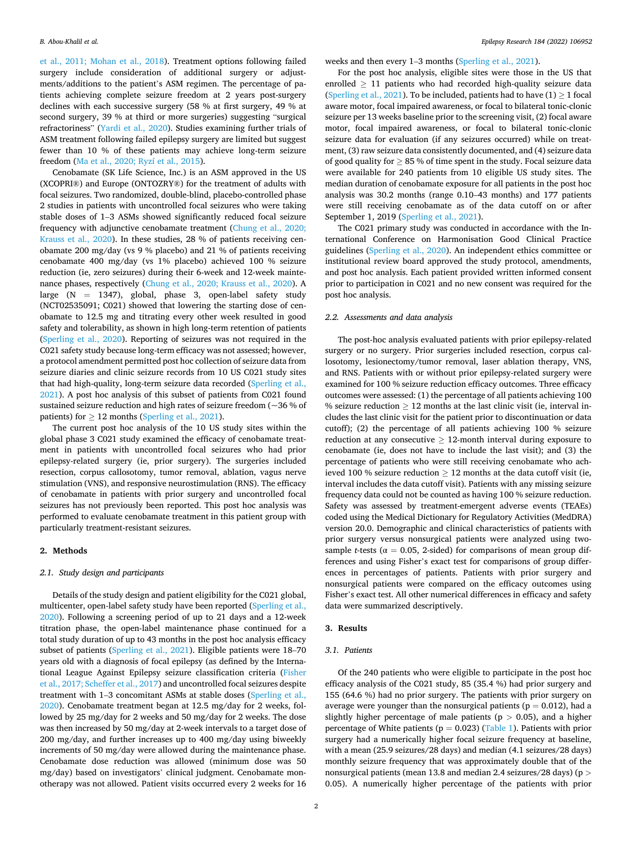[et al., 2011; Mohan et al., 2018\)](#page-8-0). Treatment options following failed surgery include consideration of additional surgery or adjustments/additions to the patient's ASM regimen. The percentage of patients achieving complete seizure freedom at 2 years post-surgery declines with each successive surgery (58 % at first surgery, 49 % at second surgery, 39 % at third or more surgeries) suggesting "surgical refractoriness" ([Yardi et al., 2020\)](#page-8-0). Studies examining further trials of ASM treatment following failed epilepsy surgery are limited but suggest fewer than 10 % of these patients may achieve long-term seizure freedom [\(Ma et al., 2020; Ryzí et al., 2015\)](#page-8-0).

Cenobamate (SK Life Science, Inc.) is an ASM approved in the US (XCOPRI®) and Europe (ONTOZRY®) for the treatment of adults with focal seizures. Two randomized, double-blind, placebo-controlled phase 2 studies in patients with uncontrolled focal seizures who were taking stable doses of 1–3 ASMs showed significantly reduced focal seizure frequency with adjunctive cenobamate treatment ([Chung et al., 2020;](#page-8-0)  [Krauss et al., 2020\)](#page-8-0). In these studies, 28 % of patients receiving cenobamate 200 mg/day (vs 9 % placebo) and 21 % of patients receiving cenobamate 400 mg/day (vs 1% placebo) achieved 100 % seizure reduction (ie, zero seizures) during their 6-week and 12-week maintenance phases, respectively [\(Chung et al., 2020; Krauss et al., 2020](#page-8-0)). A large  $(N = 1347)$ , global, phase 3, open-label safety study (NCT02535091; C021) showed that lowering the starting dose of cenobamate to 12.5 mg and titrating every other week resulted in good safety and tolerability, as shown in high long-term retention of patients ([Sperling et al., 2020\)](#page-8-0). Reporting of seizures was not required in the C021 safety study because long-term efficacy was not assessed; however, a protocol amendment permitted post hoc collection of seizure data from seizure diaries and clinic seizure records from 10 US C021 study sites that had high-quality, long-term seizure data recorded ([Sperling et al.,](#page-8-0)  [2021\)](#page-8-0). A post hoc analysis of this subset of patients from C021 found sustained seizure reduction and high rates of seizure freedom (~36 % of patients) for  $\geq$  12 months ([Sperling et al., 2021](#page-8-0)).

The current post hoc analysis of the 10 US study sites within the global phase 3 C021 study examined the efficacy of cenobamate treatment in patients with uncontrolled focal seizures who had prior epilepsy-related surgery (ie, prior surgery). The surgeries included resection, corpus callosotomy, tumor removal, ablation, vagus nerve stimulation (VNS), and responsive neurostimulation (RNS). The efficacy of cenobamate in patients with prior surgery and uncontrolled focal seizures has not previously been reported. This post hoc analysis was performed to evaluate cenobamate treatment in this patient group with particularly treatment-resistant seizures.

# **2. Methods**

#### *2.1. Study design and participants*

Details of the study design and patient eligibility for the C021 global, multicenter, open-label safety study have been reported ([Sperling et al.,](#page-8-0)  [2020\)](#page-8-0). Following a screening period of up to 21 days and a 12-week titration phase, the open-label maintenance phase continued for a total study duration of up to 43 months in the post hoc analysis efficacy subset of patients ([Sperling et al., 2021\)](#page-8-0). Eligible patients were 18–70 years old with a diagnosis of focal epilepsy (as defined by the International League Against Epilepsy seizure classification criteria [\(Fisher](#page-8-0)  [et al., 2017; Scheffer et al., 2017](#page-8-0)) and uncontrolled focal seizures despite treatment with 1–3 concomitant ASMs at stable doses [\(Sperling et al.,](#page-8-0)  [2020\)](#page-8-0). Cenobamate treatment began at 12.5 mg/day for 2 weeks, followed by 25 mg/day for 2 weeks and 50 mg/day for 2 weeks. The dose was then increased by 50 mg/day at 2-week intervals to a target dose of 200 mg/day, and further increases up to 400 mg/day using biweekly increments of 50 mg/day were allowed during the maintenance phase. Cenobamate dose reduction was allowed (minimum dose was 50 mg/day) based on investigators' clinical judgment. Cenobamate monotherapy was not allowed. Patient visits occurred every 2 weeks for 16 weeks and then every 1–3 months ([Sperling et al., 2021](#page-8-0)).

For the post hoc analysis, eligible sites were those in the US that enrolled  $\geq$  11 patients who had recorded high-quality seizure data ([Sperling et al., 2021\)](#page-8-0). To be included, patients had to have  $(1) \ge 1$  focal aware motor, focal impaired awareness, or focal to bilateral tonic-clonic seizure per 13 weeks baseline prior to the screening visit, (2) focal aware motor, focal impaired awareness, or focal to bilateral tonic-clonic seizure data for evaluation (if any seizures occurred) while on treatment, (3) raw seizure data consistently documented, and (4) seizure data of good quality for  $\geq 85$  % of time spent in the study. Focal seizure data were available for 240 patients from 10 eligible US study sites. The median duration of cenobamate exposure for all patients in the post hoc analysis was 30.2 months (range 0.10–43 months) and 177 patients were still receiving cenobamate as of the data cutoff on or after September 1, 2019 ([Sperling et al., 2021\)](#page-8-0).

The C021 primary study was conducted in accordance with the International Conference on Harmonisation Good Clinical Practice guidelines [\(Sperling et al., 2020](#page-8-0)). An independent ethics committee or institutional review board approved the study protocol, amendments, and post hoc analysis. Each patient provided written informed consent prior to participation in C021 and no new consent was required for the post hoc analysis.

#### *2.2. Assessments and data analysis*

The post-hoc analysis evaluated patients with prior epilepsy-related surgery or no surgery. Prior surgeries included resection, corpus callosotomy, lesionectomy/tumor removal, laser ablation therapy, VNS, and RNS. Patients with or without prior epilepsy-related surgery were examined for 100 % seizure reduction efficacy outcomes. Three efficacy outcomes were assessed: (1) the percentage of all patients achieving 100 % seizure reduction  $\geq 12$  months at the last clinic visit (ie, interval includes the last clinic visit for the patient prior to discontinuation or data cutoff); (2) the percentage of all patients achieving 100 % seizure reduction at any consecutive  $\geq 12$ -month interval during exposure to cenobamate (ie, does not have to include the last visit); and (3) the percentage of patients who were still receiving cenobamate who achieved 100 % seizure reduction  $\geq$  12 months at the data cutoff visit (ie, interval includes the data cutoff visit). Patients with any missing seizure frequency data could not be counted as having 100 % seizure reduction. Safety was assessed by treatment-emergent adverse events (TEAEs) coded using the Medical Dictionary for Regulatory Activities (MedDRA) version 20.0. Demographic and clinical characteristics of patients with prior surgery versus nonsurgical patients were analyzed using twosample *t*-tests ( $\alpha = 0.05$ , 2-sided) for comparisons of mean group differences and using Fisher's exact test for comparisons of group differences in percentages of patients. Patients with prior surgery and nonsurgical patients were compared on the efficacy outcomes using Fisher's exact test. All other numerical differences in efficacy and safety data were summarized descriptively.

#### **3. Results**

#### *3.1. Patients*

Of the 240 patients who were eligible to participate in the post hoc efficacy analysis of the C021 study, 85 (35.4 %) had prior surgery and 155 (64.6 %) had no prior surgery. The patients with prior surgery on average were younger than the nonsurgical patients ( $p = 0.012$ ), had a slightly higher percentage of male patients (p *>* 0.05), and a higher percentage of White patients ( $p = 0.023$ ) [\(Table 1\)](#page-4-0). Patients with prior surgery had a numerically higher focal seizure frequency at baseline, with a mean (25.9 seizures/28 days) and median (4.1 seizures/28 days) monthly seizure frequency that was approximately double that of the nonsurgical patients (mean 13.8 and median 2.4 seizures/28 days) (p *>* 0.05). A numerically higher percentage of the patients with prior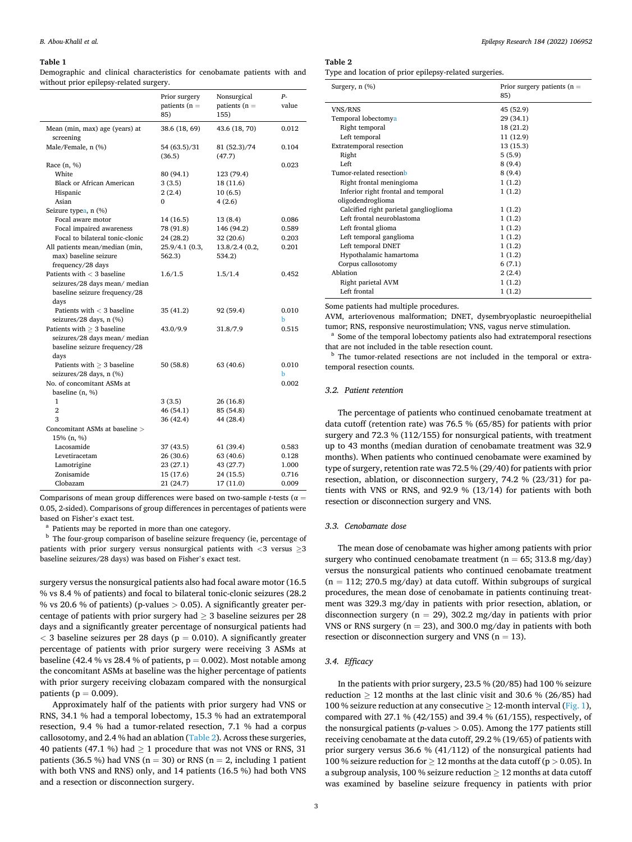#### <span id="page-4-0"></span>**Table 1**

Demographic and clinical characteristics for cenobamate patients with and without prior epilepsy-related surgery.

|                                             | Prior surgery<br>patients $(n =$<br>85) | Nonsurgical<br>patients ( $n =$<br>155) | р.<br>value |
|---------------------------------------------|-----------------------------------------|-----------------------------------------|-------------|
| Mean (min, max) age (years) at<br>screening | 38.6 (18, 69)                           | 43.6 (18, 70)                           | 0.012       |
| Male/Female, n (%)                          | 54 (63.5)/31<br>(36.5)                  | 81 (52.3)/74<br>(47.7)                  | 0.104       |
| Race (n, %)                                 |                                         |                                         | 0.023       |
| White                                       | 80 (94.1)                               | 123 (79.4)                              |             |
| <b>Black or African American</b>            | 3(3.5)                                  | 18 (11.6)                               |             |
| Hispanic                                    | 2 (2.4)                                 | 10(6.5)                                 |             |
| Asian                                       | 0                                       | 4(2.6)                                  |             |
| Seizure typea, n (%)                        |                                         |                                         |             |
| Focal aware motor                           | 14 (16.5)                               | 13 (8.4)                                | 0.086       |
| Focal impaired awareness                    | 78 (91.8)                               | 146 (94.2)                              | 0.589       |
| Focal to bilateral tonic-clonic             | 24 (28.2)                               | 32 (20.6)                               | 0.203       |
| All patients mean/median (min,              | 25.9/4.1 (0.3,                          | 13.8/2.4(0.2,                           | 0.201       |
| max) baseline seizure                       | 562.3)                                  | 534.2)                                  |             |
| frequency/28 days                           |                                         |                                         |             |
| Patients with $<$ 3 baseline                | 1.6/1.5                                 | 1.5/1.4                                 | 0.452       |
| seizures/28 days mean/ median               |                                         |                                         |             |
| baseline seizure frequency/28               |                                         |                                         |             |
| days                                        |                                         |                                         |             |
| Patients with $<$ 3 baseline                | 35 (41.2)                               | 92 (59.4)                               | 0.010       |
| seizures/28 days, n (%)                     |                                         |                                         | b           |
| Patients with $\geq 3$ baseline             | 43.0/9.9                                | 31.8/7.9                                | 0.515       |
| seizures/28 days mean/ median               |                                         |                                         |             |
| baseline seizure frequency/28               |                                         |                                         |             |
| days                                        |                                         |                                         |             |
| Patients with $\geq 3$ baseline             | 50(58.8)                                | 63 (40.6)                               | 0.010       |
| seizures/28 days, n (%)                     |                                         |                                         | b           |
| No. of concomitant ASMs at                  |                                         |                                         | 0.002       |
| baseline $(n, %)$                           |                                         |                                         |             |
| $\mathbf{1}$                                | 3(3.5)                                  | 26 (16.8)                               |             |
| $\overline{2}$                              | 46 (54.1)                               | 85 (54.8)                               |             |
| 3                                           | 36 (42.4)                               | 44 (28.4)                               |             |
| Concomitant ASMs at baseline >              |                                         |                                         |             |
| 15% (n, %)                                  |                                         |                                         |             |
| Lacosamide                                  | 37 (43.5)                               | 61 (39.4)                               | 0.583       |
| Levetiracetam                               | 26 (30.6)                               | 63 (40.6)                               | 0.128       |
| Lamotrigine                                 | 23 (27.1)                               | 43 (27.7)                               | 1.000       |
| Zonisamide                                  | 15 (17.6)                               | 24 (15.5)                               | 0.716       |
| Clobazam                                    | 21 (24.7)                               | 17 (11.0)                               | 0.009       |

Comparisons of mean group differences were based on two-sample *t*-tests (α = 0.05, 2-sided). Comparisons of group differences in percentages of patients were based on Fisher's exact test.<br>
<sup>a</sup> Patients may be reported in more than one category.<br>
<sup>b</sup> The four-group comparison of baseline seizure frequency (ie, percentage of

patients with prior surgery versus nonsurgical patients with *<*3 versus ≥3 baseline seizures/28 days) was based on Fisher's exact test.

surgery versus the nonsurgical patients also had focal aware motor (16.5 % vs 8.4 % of patients) and focal to bilateral tonic-clonic seizures (28.2 % vs 20.6 % of patients) (p-values *>* 0.05). A significantly greater percentage of patients with prior surgery had  $\geq 3$  baseline seizures per 28 days and a significantly greater percentage of nonsurgical patients had  $<$  3 baseline seizures per 28 days ( $p = 0.010$ ). A significantly greater percentage of patients with prior surgery were receiving 3 ASMs at baseline (42.4 % vs 28.4 % of patients,  $p = 0.002$ ). Most notable among the concomitant ASMs at baseline was the higher percentage of patients with prior surgery receiving clobazam compared with the nonsurgical patients ( $p = 0.009$ ).

Approximately half of the patients with prior surgery had VNS or RNS, 34.1 % had a temporal lobectomy, 15.3 % had an extratemporal resection, 9.4 % had a tumor-related resection, 7.1 % had a corpus callosotomy, and 2.4 % had an ablation (Table 2). Across these surgeries, 40 patients (47.1 %) had  $\geq$  1 procedure that was not VNS or RNS, 31 patients (36.5 %) had VNS ( $n = 30$ ) or RNS ( $n = 2$ , including 1 patient with both VNS and RNS) only, and 14 patients (16.5 %) had both VNS and a resection or disconnection surgery.

#### **Table 2**

Type and location of prior epilepsy-related surgeries.

| Surgery, n (%)                         | Prior surgery patients ( $n =$<br>85) |
|----------------------------------------|---------------------------------------|
| VNS/RNS                                | 45 (52.9)                             |
| Temporal lobectomya                    | 29 (34.1)                             |
| Right temporal                         | 18 (21.2)                             |
| Left temporal                          | 11 (12.9)                             |
| <b>Extratemporal resection</b>         | 13 (15.3)                             |
| Right                                  | 5(5.9)                                |
| Left                                   | 8(9.4)                                |
| Tumor-related resectionb               | 8(9.4)                                |
| Right frontal meningioma               | 1(1.2)                                |
| Inferior right frontal and temporal    | 1(1.2)                                |
| oligodendroglioma                      |                                       |
| Calcified right parietal ganglioglioma | 1(1.2)                                |
| Left frontal neuroblastoma             | 1(1.2)                                |
| Left frontal glioma                    | 1(1.2)                                |
| Left temporal ganglioma                | 1(1.2)                                |
| Left temporal DNET                     | 1(1.2)                                |
| Hypothalamic hamartoma                 | 1(1.2)                                |
| Corpus callosotomy                     | 6(7.1)                                |
| Ablation                               | 2(2.4)                                |
| Right parietal AVM                     | 1(1.2)                                |
| Left frontal                           | 1(1.2)                                |
|                                        |                                       |

Some patients had multiple procedures.

AVM, arteriovenous malformation; DNET, dysembryoplastic neuroepithelial tumor; RNS, responsive neurostimulation; VNS, vagus nerve stimulation.<br><sup>a</sup> Some of the temporal lobectomy patients also had extratemporal resections

that are not included in the table resection count.<br> $\frac{b}{c}$  The tumor-related resections are not included in the temporal or extra-

temporal resection counts.

## *3.2. Patient retention*

The percentage of patients who continued cenobamate treatment at data cutoff (retention rate) was 76.5 % (65/85) for patients with prior surgery and 72.3 % (112/155) for nonsurgical patients, with treatment up to 43 months (median duration of cenobamate treatment was 32.9 months). When patients who continued cenobamate were examined by type of surgery, retention rate was 72.5 % (29/40) for patients with prior resection, ablation, or disconnection surgery, 74.2 % (23/31) for patients with VNS or RNS, and 92.9 % (13/14) for patients with both resection or disconnection surgery and VNS.

#### *3.3. Cenobamate dose*

The mean dose of cenobamate was higher among patients with prior surgery who continued cenobamate treatment ( $n = 65$ ; 313.8 mg/day) versus the nonsurgical patients who continued cenobamate treatment  $(n = 112; 270.5 \text{ mg/day})$  at data cutoff. Within subgroups of surgical procedures, the mean dose of cenobamate in patients continuing treatment was 329.3 mg/day in patients with prior resection, ablation, or disconnection surgery ( $n = 29$ ), 302.2 mg/day in patients with prior VNS or RNS surgery ( $n = 23$ ), and 300.0 mg/day in patients with both resection or disconnection surgery and VNS ( $n = 13$ ).

# *3.4. Efficacy*

In the patients with prior surgery, 23.5 % (20/85) had 100 % seizure reduction  $\geq 12$  months at the last clinic visit and 30.6 % (26/85) had 100 % seizure reduction at any consecutive  $\geq$  12-month interval [\(Fig. 1](#page-5-0)), compared with 27.1 % (42/155) and 39.4 % (61/155), respectively, of the nonsurgical patients (*p*-values *>* 0.05). Among the 177 patients still receiving cenobamate at the data cutoff, 29.2 % (19/65) of patients with prior surgery versus 36.6 % (41/112) of the nonsurgical patients had 100 % seizure reduction for ≥ 12 months at the data cutoff (p *>* 0.05). In a subgroup analysis, 100 % seizure reduction  $> 12$  months at data cutoff was examined by baseline seizure frequency in patients with prior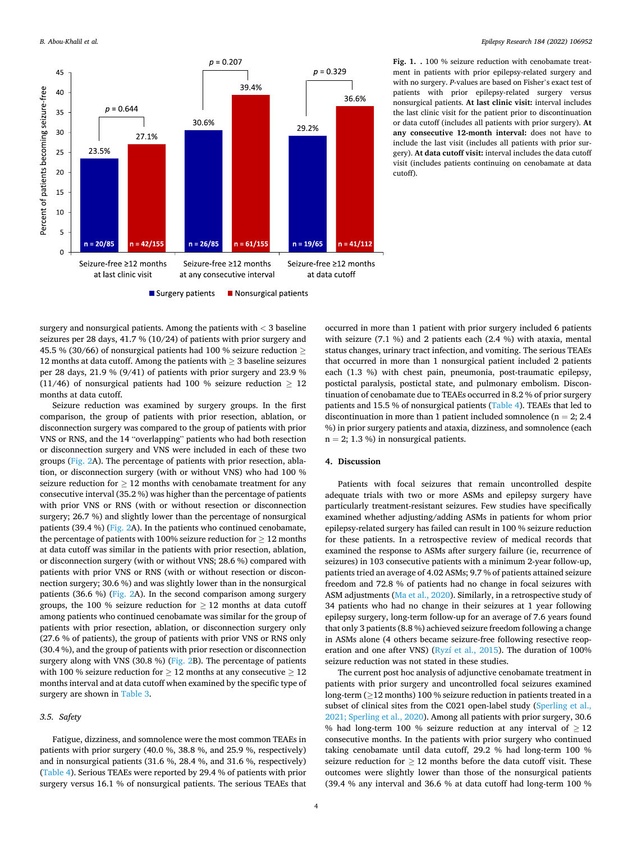<span id="page-5-0"></span>

**Fig. 1. .** 100 % seizure reduction with cenobamate treatment in patients with prior epilepsy-related surgery and with no surgery. *P*-values are based on Fisher's exact test of patients with prior epilepsy-related surgery versus nonsurgical patients. **At last clinic visit:** interval includes the last clinic visit for the patient prior to discontinuation or data cutoff (includes all patients with prior surgery). **At any consecutive 12-month interval:** does not have to include the last visit (includes all patients with prior surgery). **At data cutoff visit:** interval includes the data cutoff visit (includes patients continuing on cenobamate at data cutoff).

surgery and nonsurgical patients. Among the patients with *<* 3 baseline seizures per 28 days, 41.7 % (10/24) of patients with prior surgery and 45.5 % (30/66) of nonsurgical patients had 100 % seizure reduction  $\geq$ 12 months at data cutoff. Among the patients with  $\geq$  3 baseline seizures per 28 days, 21.9 % (9/41) of patients with prior surgery and 23.9 % (11/46) of nonsurgical patients had 100 % seizure reduction  $\geq 12$ months at data cutoff.

Seizure reduction was examined by surgery groups. In the first comparison, the group of patients with prior resection, ablation, or disconnection surgery was compared to the group of patients with prior VNS or RNS, and the 14 "overlapping" patients who had both resection or disconnection surgery and VNS were included in each of these two groups ([Fig. 2A](#page-6-0)). The percentage of patients with prior resection, ablation, or disconnection surgery (with or without VNS) who had 100 % seizure reduction for  $\geq 12$  months with cenobamate treatment for any consecutive interval (35.2 %) was higher than the percentage of patients with prior VNS or RNS (with or without resection or disconnection surgery; 26.7 %) and slightly lower than the percentage of nonsurgical patients (39.4 %) ([Fig. 2A](#page-6-0)). In the patients who continued cenobamate, the percentage of patients with 100% seizure reduction for  $\geq 12$  months at data cutoff was similar in the patients with prior resection, ablation, or disconnection surgery (with or without VNS; 28.6 %) compared with patients with prior VNS or RNS (with or without resection or disconnection surgery; 30.6 %) and was slightly lower than in the nonsurgical patients (36.6 %) [\(Fig. 2A](#page-6-0)). In the second comparison among surgery groups, the 100 % seizure reduction for  $> 12$  months at data cutoff among patients who continued cenobamate was similar for the group of patients with prior resection, ablation, or disconnection surgery only (27.6 % of patients), the group of patients with prior VNS or RNS only (30.4 %), and the group of patients with prior resection or disconnection surgery along with VNS (30.8 %) [\(Fig. 2B](#page-6-0)). The percentage of patients with 100 % seizure reduction for  $\geq 12$  months at any consecutive  $\geq 12$ months interval and at data cutoff when examined by the specific type of surgery are shown in [Table 3.](#page-7-0)

#### *3.5. Safety*

Fatigue, dizziness, and somnolence were the most common TEAEs in patients with prior surgery (40.0 %, 38.8 %, and 25.9 %, respectively) and in nonsurgical patients (31.6 %, 28.4 %, and 31.6 %, respectively) ([Table 4\)](#page-7-0). Serious TEAEs were reported by 29.4 % of patients with prior surgery versus 16.1 % of nonsurgical patients. The serious TEAEs that occurred in more than 1 patient with prior surgery included 6 patients with seizure (7.1 %) and 2 patients each (2.4 %) with ataxia, mental status changes, urinary tract infection, and vomiting. The serious TEAEs that occurred in more than 1 nonsurgical patient included 2 patients each (1.3 %) with chest pain, pneumonia, post-traumatic epilepsy, postictal paralysis, postictal state, and pulmonary embolism. Discontinuation of cenobamate due to TEAEs occurred in 8.2 % of prior surgery patients and 15.5 % of nonsurgical patients ([Table 4\)](#page-7-0). TEAEs that led to discontinuation in more than 1 patient included somnolence ( $n = 2$ ; 2.4 %) in prior surgery patients and ataxia, dizziness, and somnolence (each  $n = 2$ ; 1.3 %) in nonsurgical patients.

# **4. Discussion**

Patients with focal seizures that remain uncontrolled despite adequate trials with two or more ASMs and epilepsy surgery have particularly treatment-resistant seizures. Few studies have specifically examined whether adjusting/adding ASMs in patients for whom prior epilepsy-related surgery has failed can result in 100 % seizure reduction for these patients. In a retrospective review of medical records that examined the response to ASMs after surgery failure (ie, recurrence of seizures) in 103 consecutive patients with a minimum 2-year follow-up, patients tried an average of 4.02 ASMs; 9.7 % of patients attained seizure freedom and 72.8 % of patients had no change in focal seizures with ASM adjustments [\(Ma et al., 2020](#page-8-0)). Similarly, in a retrospective study of 34 patients who had no change in their seizures at 1 year following epilepsy surgery, long-term follow-up for an average of 7.6 years found that only 3 patients (8.8 %) achieved seizure freedom following a change in ASMs alone (4 others became seizure-free following resective reoperation and one after VNS) ([Ryzí et al., 2015\)](#page-8-0). The duration of 100% seizure reduction was not stated in these studies.

The current post hoc analysis of adjunctive cenobamate treatment in patients with prior surgery and uncontrolled focal seizures examined long-term ( $\geq$ 12 months) 100 % seizure reduction in patients treated in a subset of clinical sites from the C021 open-label study ([Sperling et al.,](#page-8-0)  [2021; Sperling et al., 2020](#page-8-0)). Among all patients with prior surgery, 30.6 % had long-term 100 % seizure reduction at any interval of  $\geq$  12 consecutive months. In the patients with prior surgery who continued taking cenobamate until data cutoff, 29.2 % had long-term 100 % seizure reduction for  $\geq 12$  months before the data cutoff visit. These outcomes were slightly lower than those of the nonsurgical patients (39.4 % any interval and 36.6 % at data cutoff had long-term 100 %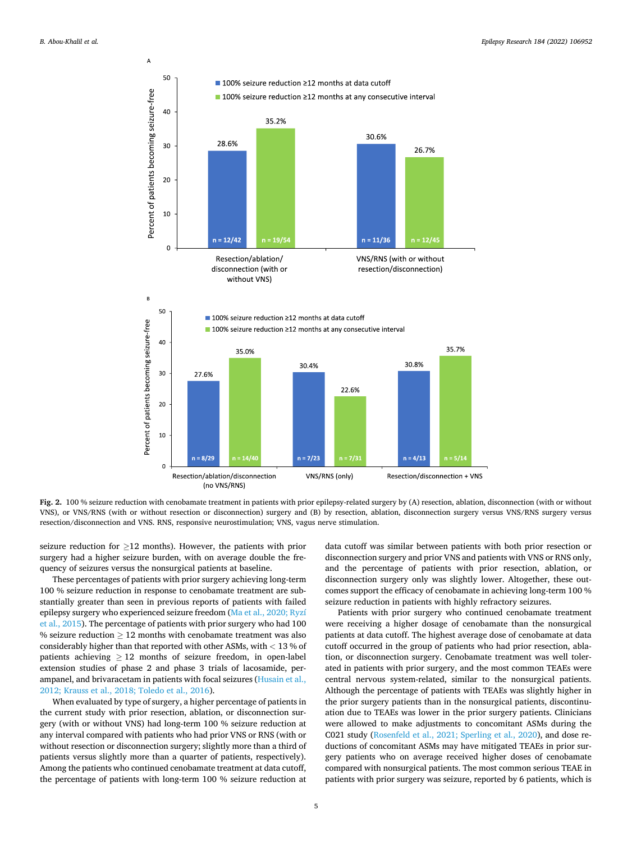<span id="page-6-0"></span>

**Fig. 2.** 100 % seizure reduction with cenobamate treatment in patients with prior epilepsy-related surgery by (A) resection, ablation, disconnection (with or without VNS), or VNS/RNS (with or without resection or disconnection) surgery and (B) by resection, ablation, disconnection surgery versus VNS/RNS surgery versus resection/disconnection and VNS. RNS, responsive neurostimulation; VNS, vagus nerve stimulation.

seizure reduction for  $\geq$ 12 months). However, the patients with prior surgery had a higher seizure burden, with on average double the frequency of seizures versus the nonsurgical patients at baseline.

These percentages of patients with prior surgery achieving long-term 100 % seizure reduction in response to cenobamate treatment are substantially greater than seen in previous reports of patients with failed epilepsy surgery who experienced seizure freedom ([Ma et al., 2020; Ryzí](#page-8-0)  [et al., 2015\)](#page-8-0). The percentage of patients with prior surgery who had 100 % seizure reduction  $> 12$  months with cenobamate treatment was also considerably higher than that reported with other ASMs, with *<* 13 % of patients achieving  $\geq 12$  months of seizure freedom, in open-label extension studies of phase 2 and phase 3 trials of lacosamide, perampanel, and brivaracetam in patients with focal seizures ([Husain et al.,](#page-8-0)  [2012; Krauss et al., 2018; Toledo et al., 2016](#page-8-0)).

When evaluated by type of surgery, a higher percentage of patients in the current study with prior resection, ablation, or disconnection surgery (with or without VNS) had long-term 100 % seizure reduction at any interval compared with patients who had prior VNS or RNS (with or without resection or disconnection surgery; slightly more than a third of patients versus slightly more than a quarter of patients, respectively). Among the patients who continued cenobamate treatment at data cutoff, the percentage of patients with long-term 100 % seizure reduction at

data cutoff was similar between patients with both prior resection or disconnection surgery and prior VNS and patients with VNS or RNS only, and the percentage of patients with prior resection, ablation, or disconnection surgery only was slightly lower. Altogether, these outcomes support the efficacy of cenobamate in achieving long-term 100 % seizure reduction in patients with highly refractory seizures.

Patients with prior surgery who continued cenobamate treatment were receiving a higher dosage of cenobamate than the nonsurgical patients at data cutoff. The highest average dose of cenobamate at data cutoff occurred in the group of patients who had prior resection, ablation, or disconnection surgery. Cenobamate treatment was well tolerated in patients with prior surgery, and the most common TEAEs were central nervous system-related, similar to the nonsurgical patients. Although the percentage of patients with TEAEs was slightly higher in the prior surgery patients than in the nonsurgical patients, discontinuation due to TEAEs was lower in the prior surgery patients. Clinicians were allowed to make adjustments to concomitant ASMs during the C021 study [\(Rosenfeld et al., 2021; Sperling et al., 2020](#page-8-0)), and dose reductions of concomitant ASMs may have mitigated TEAEs in prior surgery patients who on average received higher doses of cenobamate compared with nonsurgical patients. The most common serious TEAE in patients with prior surgery was seizure, reported by 6 patients, which is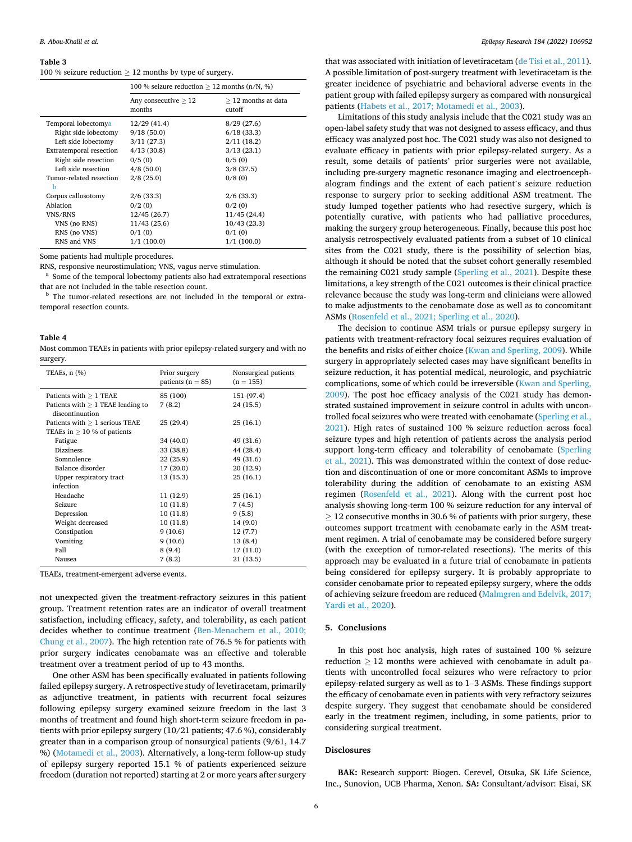#### <span id="page-7-0"></span>**Table 3**

100 % seizure reduction  $\geq$  12 months by type of surgery.

|                                                                                                                                                                                | 100 % seizure reduction $>$ 12 months (n/N, %)                                                |                                                                                       |  |
|--------------------------------------------------------------------------------------------------------------------------------------------------------------------------------|-----------------------------------------------------------------------------------------------|---------------------------------------------------------------------------------------|--|
|                                                                                                                                                                                | Any consecutive $\geq 12$<br>months                                                           | $\geq$ 12 months at data<br>cutoff                                                    |  |
| Temporal lobectomya<br>Right side lobectomy<br>Left side lobectomy<br><b>Extratemporal resection</b><br>Right side resection<br>Left side resection<br>Tumor-related resection | 12/29 (41.4)<br>9/18(50.0)<br>3/11(27.3)<br>4/13(30.8)<br>0/5(0)<br>$4/8$ (50.0)<br>2/8(25.0) | 8/29(27.6)<br>6/18(33.3)<br>2/11(18.2)<br>3/13(23.1)<br>0/5(0)<br>3/8(37.5)<br>0/8(0) |  |
| b<br>Corpus callosotomy<br>Ablation<br><b>VNS/RNS</b><br>VNS (no RNS)<br>RNS (no VNS)<br>RNS and VNS                                                                           | 2/6(33.3)<br>0/2(0)<br>12/45(26.7)<br>11/43(25.6)<br>0/1(0)<br>1/1(100.0)                     | 2/6(33.3)<br>0/2(0)<br>11/45(24.4)<br>10/43(23.3)<br>0/1(0)<br>1/1(100.0)             |  |

Some patients had multiple procedures.

RNS, responsive neurostimulation; VNS, vagus nerve stimulation.<br><sup>a</sup> Some of the temporal lobectomy patients also had extratemporal resections that are not included in the table resection count.

<sup>b</sup> The tumor-related resections are not included in the temporal or extratemporal resection counts.

#### **Table 4**

Most common TEAEs in patients with prior epilepsy-related surgery and with no surgery.

| TEAEs, $n$ $(\%)$                   | Prior surgery<br>patients ( $n = 85$ ) | Nonsurgical patients<br>$(n = 155)$ |
|-------------------------------------|----------------------------------------|-------------------------------------|
| Patients with $\geq 1$ TEAE         | 85 (100)                               | 151 (97.4)                          |
| Patients with $> 1$ TEAE leading to | 7(8.2)                                 | 24 (15.5)                           |
| discontinuation                     |                                        |                                     |
| Patients with $\geq 1$ serious TEAE | 25(29.4)                               | 25 (16.1)                           |
| TEAEs in $\geq$ 10 % of patients    |                                        |                                     |
| Fatigue                             | 34 (40.0)                              | 49 (31.6)                           |
| Dizziness                           | 33 (38.8)                              | 44 (28.4)                           |
| Somnolence                          | 22(25.9)                               | 49 (31.6)                           |
| Balance disorder                    | 17(20.0)                               | 20 (12.9)                           |
| Upper respiratory tract             | 13 (15.3)                              | 25 (16.1)                           |
| infection                           |                                        |                                     |
| Headache                            | 11 (12.9)                              | 25 (16.1)                           |
| Seizure                             | 10(11.8)                               | 7(4.5)                              |
| Depression                          | 10(11.8)                               | 9(5.8)                              |
| Weight decreased                    | 10(11.8)                               | 14 (9.0)                            |
| Constipation                        | 9(10.6)                                | 12(7.7)                             |
| Vomiting                            | 9(10.6)                                | 13 (8.4)                            |
| Fall                                | 8(9.4)                                 | 17 (11.0)                           |
| Nausea                              | 7(8.2)                                 | 21(13.5)                            |

TEAEs, treatment-emergent adverse events.

not unexpected given the treatment-refractory seizures in this patient group. Treatment retention rates are an indicator of overall treatment satisfaction, including efficacy, safety, and tolerability, as each patient decides whether to continue treatment ([Ben-Menachem et al., 2010;](#page-8-0)  [Chung et al., 2007\)](#page-8-0). The high retention rate of 76.5 % for patients with prior surgery indicates cenobamate was an effective and tolerable treatment over a treatment period of up to 43 months.

One other ASM has been specifically evaluated in patients following failed epilepsy surgery. A retrospective study of levetiracetam, primarily as adjunctive treatment, in patients with recurrent focal seizures following epilepsy surgery examined seizure freedom in the last 3 months of treatment and found high short-term seizure freedom in patients with prior epilepsy surgery (10/21 patients; 47.6 %), considerably greater than in a comparison group of nonsurgical patients (9/61, 14.7 %) ([Motamedi et al., 2003\)](#page-8-0). Alternatively, a long-term follow-up study of epilepsy surgery reported 15.1 % of patients experienced seizure freedom (duration not reported) starting at 2 or more years after surgery

that was associated with initiation of levetiracetam ([de Tisi et al., 2011](#page-8-0)). A possible limitation of post-surgery treatment with levetiracetam is the greater incidence of psychiatric and behavioral adverse events in the patient group with failed epilepsy surgery as compared with nonsurgical patients ([Habets et al., 2017; Motamedi et al., 2003\)](#page-8-0).

Limitations of this study analysis include that the C021 study was an open-label safety study that was not designed to assess efficacy, and thus efficacy was analyzed post hoc. The C021 study was also not designed to evaluate efficacy in patients with prior epilepsy-related surgery. As a result, some details of patients' prior surgeries were not available, including pre-surgery magnetic resonance imaging and electroencephalogram findings and the extent of each patient's seizure reduction response to surgery prior to seeking additional ASM treatment. The study lumped together patients who had resective surgery, which is potentially curative, with patients who had palliative procedures, making the surgery group heterogeneous. Finally, because this post hoc analysis retrospectively evaluated patients from a subset of 10 clinical sites from the C021 study, there is the possibility of selection bias, although it should be noted that the subset cohort generally resembled the remaining C021 study sample [\(Sperling et al., 2021](#page-8-0)). Despite these limitations, a key strength of the C021 outcomes is their clinical practice relevance because the study was long-term and clinicians were allowed to make adjustments to the cenobamate dose as well as to concomitant ASMs ([Rosenfeld et al., 2021; Sperling et al., 2020](#page-8-0)).

The decision to continue ASM trials or pursue epilepsy surgery in patients with treatment-refractory focal seizures requires evaluation of the benefits and risks of either choice ([Kwan and Sperling, 2009\)](#page-8-0). While surgery in appropriately selected cases may have significant benefits in seizure reduction, it has potential medical, neurologic, and psychiatric complications, some of which could be irreversible [\(Kwan and Sperling,](#page-8-0)  [2009\)](#page-8-0). The post hoc efficacy analysis of the C021 study has demonstrated sustained improvement in seizure control in adults with uncontrolled focal seizures who were treated with cenobamate ([Sperling et al.,](#page-8-0)  [2021\)](#page-8-0). High rates of sustained 100 % seizure reduction across focal seizure types and high retention of patients across the analysis period support long-term efficacy and tolerability of cenobamate (Sperling [et al., 2021](#page-8-0)). This was demonstrated within the context of dose reduction and discontinuation of one or more concomitant ASMs to improve tolerability during the addition of cenobamate to an existing ASM regimen ([Rosenfeld et al., 2021\)](#page-8-0). Along with the current post hoc analysis showing long-term 100 % seizure reduction for any interval of  $>$  12 consecutive months in 30.6 % of patients with prior surgery, these outcomes support treatment with cenobamate early in the ASM treatment regimen. A trial of cenobamate may be considered before surgery (with the exception of tumor-related resections). The merits of this approach may be evaluated in a future trial of cenobamate in patients being considered for epilepsy surgery. It is probably appropriate to consider cenobamate prior to repeated epilepsy surgery, where the odds of achieving seizure freedom are reduced ([Malmgren and Edelvik, 2017;](#page-8-0)  [Yardi et al., 2020](#page-8-0)).

#### **5. Conclusions**

In this post hoc analysis, high rates of sustained 100 % seizure reduction  $\geq$  12 months were achieved with cenobamate in adult patients with uncontrolled focal seizures who were refractory to prior epilepsy-related surgery as well as to 1–3 ASMs. These findings support the efficacy of cenobamate even in patients with very refractory seizures despite surgery. They suggest that cenobamate should be considered early in the treatment regimen, including, in some patients, prior to considering surgical treatment.

## **Disclosures**

**BAK:** Research support: Biogen. Cerevel, Otsuka, SK Life Science, Inc., Sunovion, UCB Pharma, Xenon. **SA:** Consultant/advisor: Eisai, SK